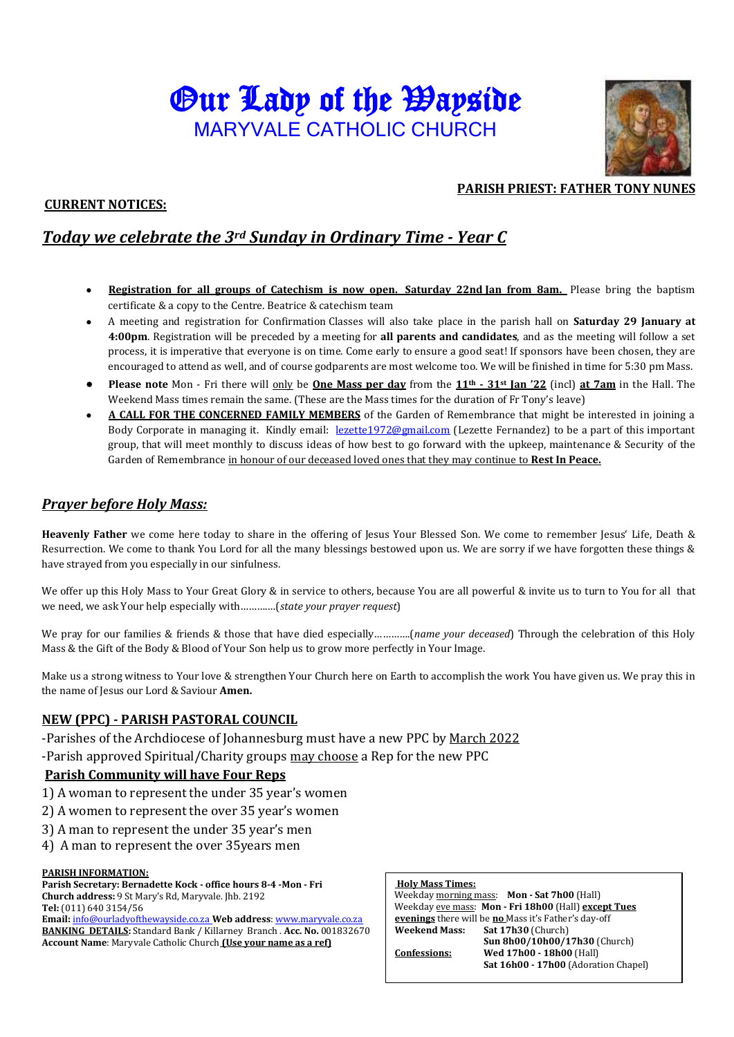# Our Lady of the Wayside MARYVALE CATHOLIC CHURCH



# **CURRENT NOTICES:**

### **PARISH PRIEST: FATHER TONY NUNES**

# *Today we celebrate the 3rd Sunday in Ordinary Time - Year C*

- **Registration for all groups of Catechism is now open. Saturday 22nd Jan from 8am.** Please bring the baptism certificate & a copy to the Centre. Beatrice & catechism team
- A meeting and registration for Confirmation Classes will also take place in the parish hall on **Saturday 29 January at 4:00pm**. Registration will be preceded by a meeting for **all parents and candidates**, and as the meeting will follow a set process, it is imperative that everyone is on time. Come early to ensure a good seat! If sponsors have been chosen, they are encouraged to attend as well, and of course godparents are most welcome too. We will be finished in time for 5:30 pm Mass.
- **Please note** Mon Fri there will only be **One Mass per day** from the **11th - 31st Jan '22** (incl) **at 7am** in the Hall. The Weekend Mass times remain the same. (These are the Mass times for the duration of Fr Tony's leave)
- **A CALL FOR THE CONCERNED FAMILY MEMBERS** of the Garden of Remembrance that might be interested in joining a Body Corporate in managing it. Kindly email: [lezette1972@gmail.com](mailto:lezette1972@gmail.com) (Lezette Fernandez) to be a part of this important group, that will meet monthly to discuss ideas of how best to go forward with the upkeep, maintenance & Security of the Garden of Remembrance in honour of our deceased loved ones that they may continue to **Rest In Peace.**

# *Prayer before Holy Mass:*

**Heavenly Father** we come here today to share in the offering of Jesus Your Blessed Son. We come to remember Jesus' Life, Death & Resurrection. We come to thank You Lord for all the many blessings bestowed upon us. We are sorry if we have forgotten these things & have strayed from you especially in our sinfulness.

We offer up this Holy Mass to Your Great Glory & in service to others, because You are all powerful & invite us to turn to You for all that we need, we ask Your help especially with……….…(*state your prayer request*)

We pray for our families & friends & those that have died especially………….(*name your deceased*) Through the celebration of this Holy Mass & the Gift of the Body & Blood of Your Son help us to grow more perfectly in Your Image.

Make us a strong witness to Your love & strengthen Your Church here on Earth to accomplish the work You have given us. We pray this in the name of Jesus our Lord & Saviour **Amen.**

#### **NEW (PPC) - PARISH PASTORAL COUNCIL**

-Parishes of the Archdiocese of Johannesburg must have a new PPC by March 2022

-Parish approved Spiritual/Charity groups may choose a Rep for the new PPC

#### **Parish Community will have Four Reps**

- 1) A woman to represent the under 35 year's women
- 2) A women to represent the over 35 year's women
- 3) A man to represent the under 35 year's men
- 4) A man to represent the over 35years men

#### **PARISH INFORMATION:**

**Parish Secretary: Bernadette Kock - office hours 8-4 -Mon - Fri Church address:** 9 St Mary's Rd, Maryvale. Jhb. 2192 **Tel:** (011) 640 3154/56

**Email:** [info@ourladyofthewayside.co.za](mailto:info@ourladyofthewayside.co.za) **Web address**[: www.maryvale.co.za](http://www.maryvale.co.za/)  **BANKING DETAILS:** Standard Bank / Killarney Branch . **Acc. No.** 001832670 **Account Name**: Maryvale Catholic Church **(Use your name as a ref)**

#### **Holy Mass Times:**

Weekday morning mass: **Mon - Sat 7h00** (Hall) Weekday eve mass: **Mon - Fri 18h00** (Hall) **except Tues evenings** there will be **no** Mass it's Father's day-off **Weekend Mass: Sat 17h30** (Church) **Sun 8h00/10h00/17h30** (Church) **Confessions: Wed 17h00 - 18h00** (Hall)  **Sat 16h00 - 17h00** (Adoration Chapel)